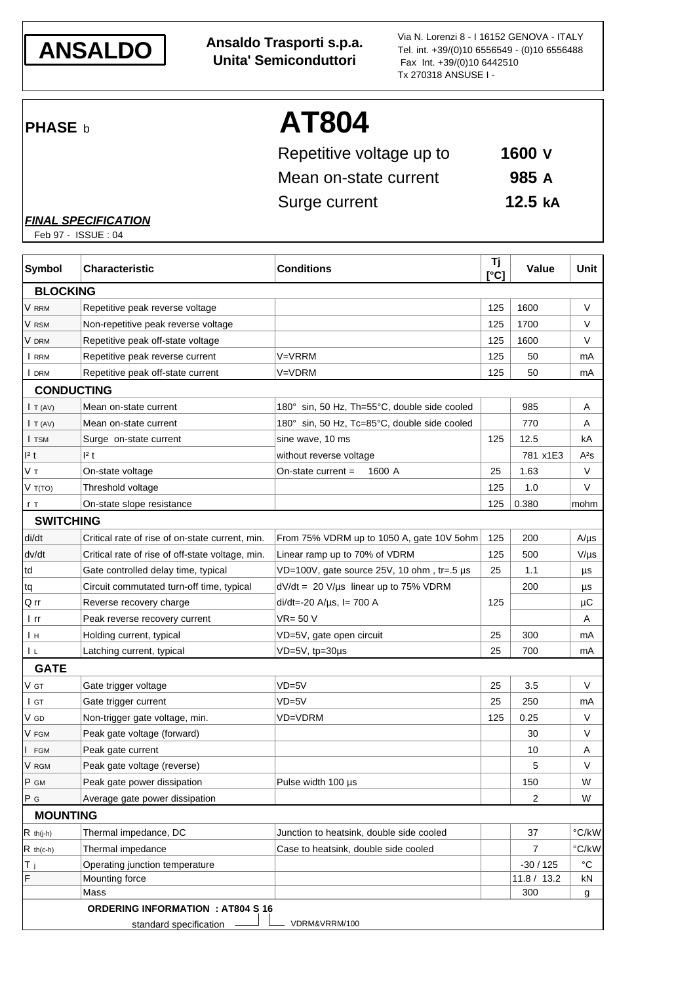

**ANSALDO Ansaldo Trasporti s.p.a. Unita' Semiconduttori**

Via N. Lorenzi 8 - I 16152 GENOVA - ITALY Tel. int. +39/(0)10 6556549 - (0)10 6556488 Fax Int. +39/(0)10 6442510 Tx 270318 ANSUSE I -

# **PHASE b AT804**

| Repetitive voltage up to | $1600$ V           |
|--------------------------|--------------------|
| Mean on-state current    | 985 A              |
| Surge current            | 12.5 <sub>kA</sub> |

#### *FINAL SPECIFICATION*

Feb 97 - ISSUE : 04

| Symbol            | <b>Characteristic</b>                            | <b>Conditions</b>                            | Τj<br>[°C] | <b>Value</b> | Unit           |
|-------------------|--------------------------------------------------|----------------------------------------------|------------|--------------|----------------|
| <b>BLOCKING</b>   |                                                  |                                              |            |              |                |
| V RRM             | Repetitive peak reverse voltage                  |                                              | 125        | 1600         | V              |
| V RSM             | Non-repetitive peak reverse voltage              |                                              | 125        | 1700         | V              |
| V DRM             | Repetitive peak off-state voltage                |                                              | 125        | 1600         | V              |
| I RRM             | Repetitive peak reverse current                  | V=VRRM                                       | 125        | 50           | mA             |
| I DRM             | Repetitive peak off-state current                | V=VDRM                                       | 125        | 50           | mA             |
| <b>CONDUCTING</b> |                                                  |                                              |            |              |                |
| I T (AV)          | Mean on-state current                            | 180° sin, 50 Hz, Th=55°C, double side cooled |            | 985          | A              |
| I T (AV)          | Mean on-state current                            | 180° sin, 50 Hz, Tc=85°C, double side cooled |            | 770          | Α              |
| I TSM             | Surge on-state current                           | sine wave, 10 ms                             | 125        | 12.5         | kA             |
| 2t                | 2t                                               | without reverse voltage                      |            | 781 x1E3     | $A^2S$         |
| Vт                | On-state voltage                                 | On-state current $=$<br>1600 A               | 25         | 1.63         | V              |
| V T(TO)           | Threshold voltage                                |                                              | 125        | 1.0          | V              |
| r T               | On-state slope resistance                        |                                              | 125        | 0.380        | mohm           |
| <b>SWITCHING</b>  |                                                  |                                              |            |              |                |
| di/dt             | Critical rate of rise of on-state current, min.  | From 75% VDRM up to 1050 A, gate 10V 5ohm    | 125        | 200          | $A/\mu s$      |
| dv/dt             | Critical rate of rise of off-state voltage, min. | Linear ramp up to 70% of VDRM                | 125        | 500          | $V/\mu s$      |
| td                | Gate controlled delay time, typical              | VD=100V, gate source 25V, 10 ohm, tr=.5 µs   | 25         | 1.1          | μs             |
| tq                | Circuit commutated turn-off time, typical        | $dV/dt = 20 V/\mu s$ linear up to 75% VDRM   |            | 200          | μs             |
| Q rr              | Reverse recovery charge                          | $di/dt = -20$ A/ $\mu$ s, l= 700 A           | 125        |              | μC             |
| l rr              | Peak reverse recovery current                    | VR= 50 V                                     |            |              | Α              |
| Iн                | Holding current, typical                         | VD=5V, gate open circuit                     | 25         | 300          | mA             |
| ΙL                | Latching current, typical                        | VD=5V, tp=30µs                               | 25         | 700          | mA             |
| <b>GATE</b>       |                                                  |                                              |            |              |                |
| V gt              | Gate trigger voltage                             | VD=5V                                        | 25         | 3.5          | V              |
| I GT              | Gate trigger current                             | $VD = 5V$                                    | 25         | 250          | mA             |
| V GD              | Non-trigger gate voltage, min.                   | <b>VD=VDRM</b>                               | 125        | 0.25         | V              |
| V FGM             | Peak gate voltage (forward)                      |                                              |            | 30           | V              |
| I FGM             | Peak gate current                                |                                              |            | 10           | A              |
| V RGM             | Peak gate voltage (reverse)                      |                                              |            | 5            | V              |
| P GM              | Peak gate power dissipation                      | Pulse width 100 µs                           |            | 150          | W              |
| P G               | Average gate power dissipation                   |                                              |            | 2            | W              |
| <b>MOUNTING</b>   |                                                  |                                              |            |              |                |
| $R$ th(j-h)       | Thermal impedance, DC                            | Junction to heatsink, double side cooled     |            | 37           | °C/kW          |
| $R$ th(c-h)       | Thermal impedance                                | Case to heatsink, double side cooled         |            | 7            | $\degree$ C/kW |
| ΙT j              | Operating junction temperature                   |                                              |            | $-30/125$    | $^{\circ}C$    |
| $\mathsf F$       | Mounting force                                   |                                              |            | 11.8 / 13.2  | kN             |
|                   | Mass                                             |                                              |            | 300          | g              |
|                   | <b>ORDERING INFORMATION : AT804 S 16</b>         |                                              |            |              |                |
|                   | standard specification                           | VDRM&VRRM/100                                |            |              |                |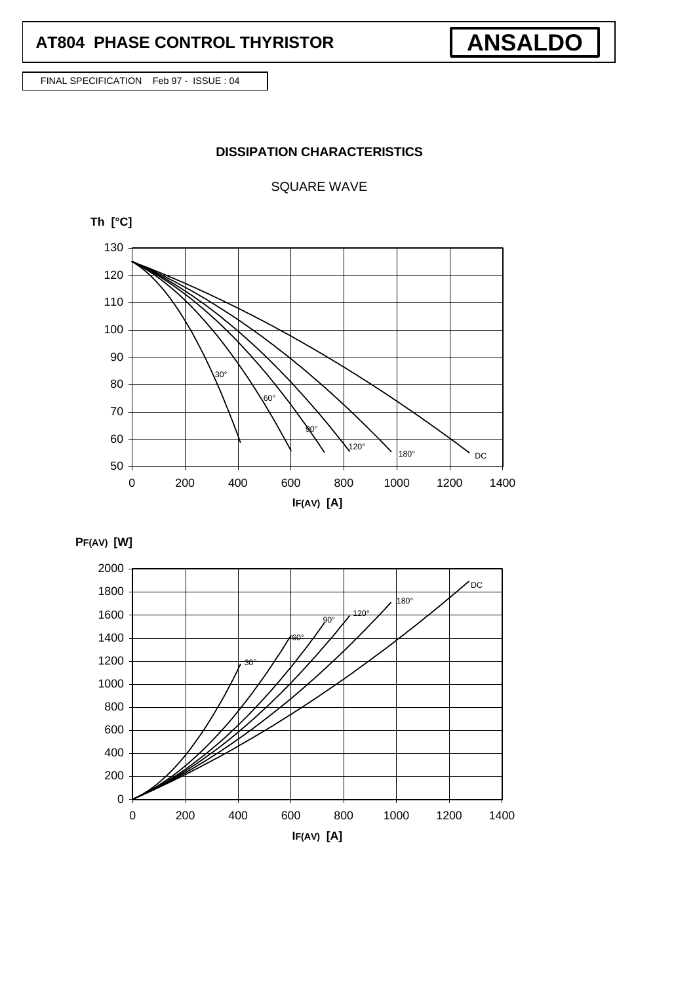FINAL SPECIFICATION Feb 97 - ISSUE : 04

### **DISSIPATION CHARACTERISTICS**

**ANSALDO**

SQUARE WAVE



**PF(AV) [W]**

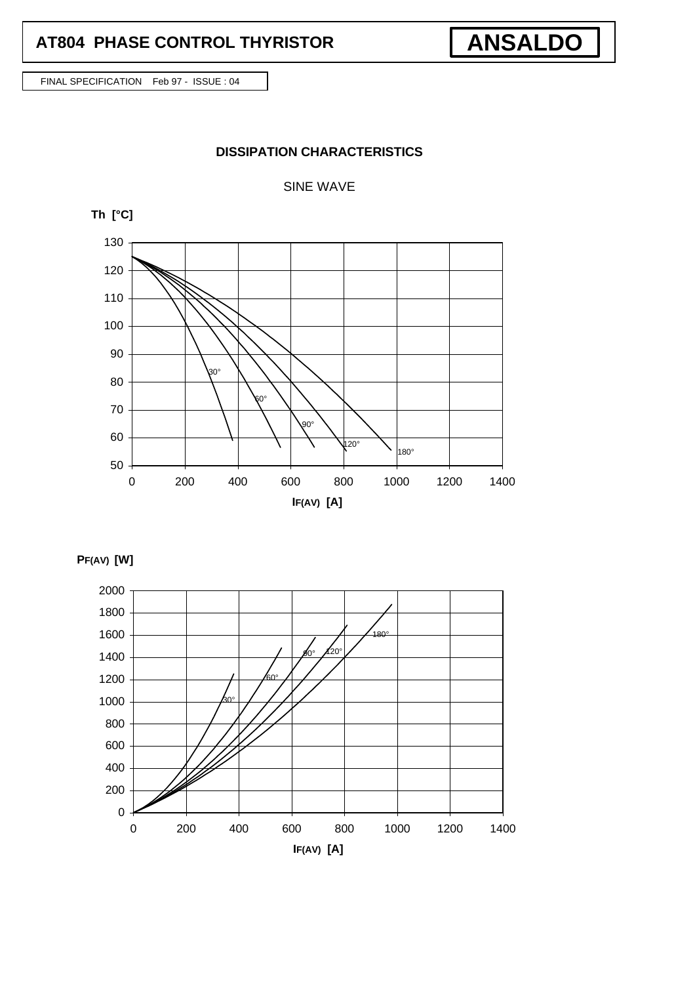FINAL SPECIFICATION Feb 97 - ISSUE : 04

### **DISSIPATION CHARACTERISTICS**

SINE WAVE



**PF(AV) [W]**



**ANSALDO**